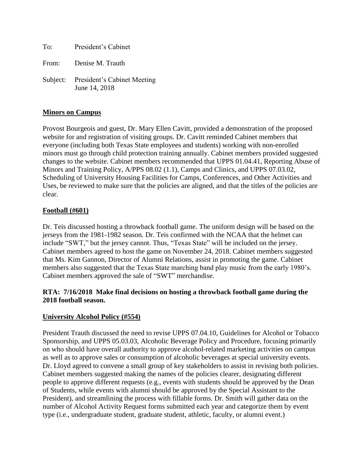To: President's Cabinet From: Denise M. Trauth Subject: President's Cabinet Meeting June 14, 2018

## **Minors on Campus**

Provost Bourgeois and guest, Dr. Mary Ellen Cavitt, provided a demonstration of the proposed website for and registration of visiting groups. Dr. Cavitt reminded Cabinet members that everyone (including both Texas State employees and students) working with non-enrolled minors must go through child protection training annually. Cabinet members provided suggested changes to the website. Cabinet members recommended that UPPS 01.04.41, Reporting Abuse of Minors and Training Policy, A/PPS 08.02 (1.1), Camps and Clinics, and UPPS 07.03.02, Scheduling of University Housing Facilities for Camps, Conferences, and Other Activities and Uses, be reviewed to make sure that the policies are aligned, and that the titles of the policies are clear.

## **Football (#601)**

Dr. Teis discussed hosting a throwback football game. The uniform design will be based on the jerseys from the 1981-1982 season. Dr. Teis confirmed with the NCAA that the helmet can include "SWT," but the jersey cannot. Thus, "Texas State" will be included on the jersey. Cabinet members agreed to host the game on November 24, 2018. Cabinet members suggested that Ms. Kim Gannon, Director of Alumni Relations, assist in promoting the game. Cabinet members also suggested that the Texas State marching band play music from the early 1980's. Cabinet members approved the sale of "SWT" merchandise.

## **RTA: 7/16/2018 Make final decisions on hosting a throwback football game during the 2018 football season.**

#### **University Alcohol Policy (#554)**

President Trauth discussed the need to revise UPPS 07.04.10, Guidelines for Alcohol or Tobacco Sponsorship, and UPPS 05.03.03, Alcoholic Beverage Policy and Procedure, focusing primarily on who should have overall authority to approve alcohol-related marketing activities on campus as well as to approve sales or consumption of alcoholic beverages at special university events. Dr. Lloyd agreed to convene a small group of key stakeholders to assist in revising both policies. Cabinet members suggested making the names of the policies clearer, designating different people to approve different requests (e.g., events with students should be approved by the Dean of Students, while events with alumni should be approved by the Special Assistant to the President), and streamlining the process with fillable forms. Dr. Smith will gather data on the number of Alcohol Activity Request forms submitted each year and categorize them by event type (i.e., undergraduate student, graduate student, athletic, faculty, or alumni event.)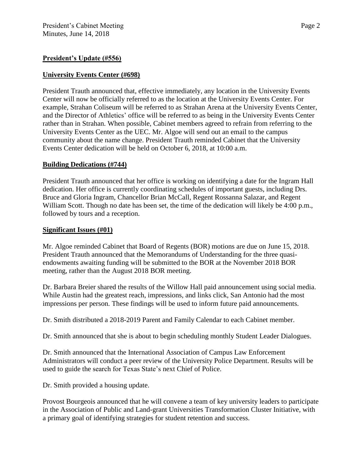#### **President's Update (#556)**

#### **University Events Center (#698)**

President Trauth announced that, effective immediately, any location in the University Events Center will now be officially referred to as the location at the University Events Center. For example, Strahan Coliseum will be referred to as Strahan Arena at the University Events Center, and the Director of Athletics' office will be referred to as being in the University Events Center rather than in Strahan. When possible, Cabinet members agreed to refrain from referring to the University Events Center as the UEC. Mr. Algoe will send out an email to the campus community about the name change. President Trauth reminded Cabinet that the University Events Center dedication will be held on October 6, 2018, at 10:00 a.m.

#### **Building Dedications (#744)**

President Trauth announced that her office is working on identifying a date for the Ingram Hall dedication. Her office is currently coordinating schedules of important guests, including Drs. Bruce and Gloria Ingram, Chancellor Brian McCall, Regent Rossanna Salazar, and Regent William Scott. Though no date has been set, the time of the dedication will likely be 4:00 p.m., followed by tours and a reception.

#### **Significant Issues (#01)**

Mr. Algoe reminded Cabinet that Board of Regents (BOR) motions are due on June 15, 2018. President Trauth announced that the Memorandums of Understanding for the three quasiendowments awaiting funding will be submitted to the BOR at the November 2018 BOR meeting, rather than the August 2018 BOR meeting.

Dr. Barbara Breier shared the results of the Willow Hall paid announcement using social media. While Austin had the greatest reach, impressions, and links click, San Antonio had the most impressions per person. These findings will be used to inform future paid announcements.

Dr. Smith distributed a 2018-2019 Parent and Family Calendar to each Cabinet member.

Dr. Smith announced that she is about to begin scheduling monthly Student Leader Dialogues.

Dr. Smith announced that the International Association of Campus Law Enforcement Administrators will conduct a peer review of the University Police Department. Results will be used to guide the search for Texas State's next Chief of Police.

Dr. Smith provided a housing update.

Provost Bourgeois announced that he will convene a team of key university leaders to participate in the Association of Public and Land-grant Universities Transformation Cluster Initiative, with a primary goal of identifying strategies for student retention and success.